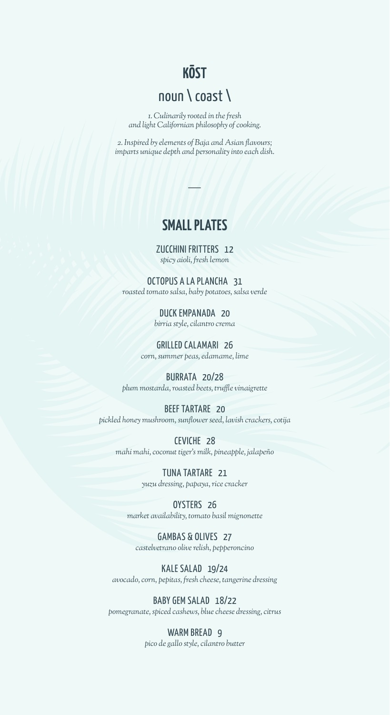## **KŌST**

# noun \ coast \

*1. Culinarily rooted in the fresh and light Californian philosophy of cooking.*

*2. Inspired by elements of Baja and Asian flavours; imparts unique depth and personality into each dish.*

#### **SMALL PLATES**

ZUCCHINI FRITTERS 12 *spicy aioli, fresh lemon* 

OCTOPUS A LA PLANCHA 31 *roasted tomato salsa, baby potatoes, salsa verde*

> DUCK EMPANADA 20 *birria style, cilantro crema*

GRILLED CALAMARI 26 *corn, summer peas, edamame, lime*

BURRATA 20/28 *plum mostarda, roasted beets, truffle vinaigrette*

BEEF TARTARE 20 *pickled honey mushroom, sunflower seed, lavish crackers, cotija*

CEVICHE 28 *mahi mahi, coconut tiger's milk, pineapple, jalapeño*

> TUNA TARTARE 21 *yuzu dressing, papaya, rice cracker*

OYSTERS 26 *market availability, tomato basil mignonette*

GAMBAS & OLIVES 27 *castelvetrano olive relish, pepperoncino*

KALE SALAD 19/24 *avocado, corn, pepitas, fresh cheese, tangerine dressing*

BABY GEM SALAD 18/22 *pomegranate, spiced cashews, blue cheese dressing, citrus*

> WARM BREAD 9 *pico de gallo style, cilantro butter*